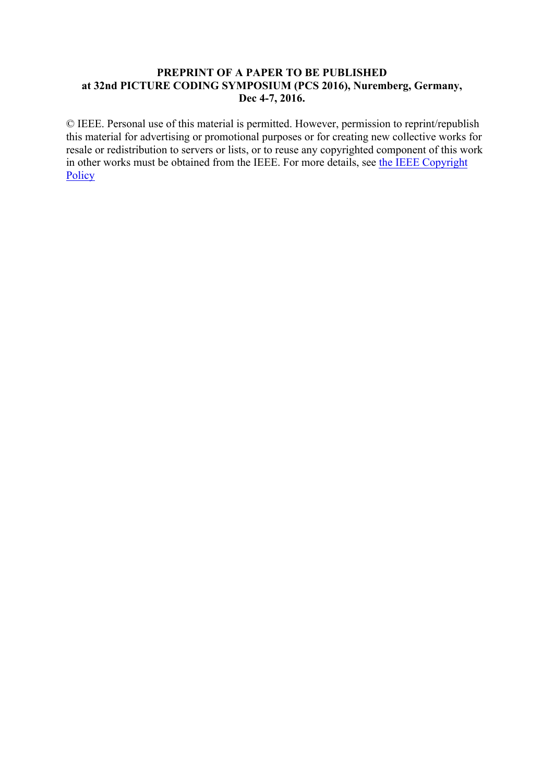# **PREPRINT OF A PAPER TO BE PUBLISHED at 32nd PICTURE CODING SYMPOSIUM (PCS 2016), Nuremberg, Germany, Dec 4-7, 2016.**

© IEEE. Personal use of this material is permitted. However, permission to reprint/republish this material for advertising or promotional purposes or for creating new collective works for resale or redistribution to servers or lists, or to reuse any copyrighted component of this work in other works must be obtained from the IEEE. For more details, see the IEEE Copyright **Policy**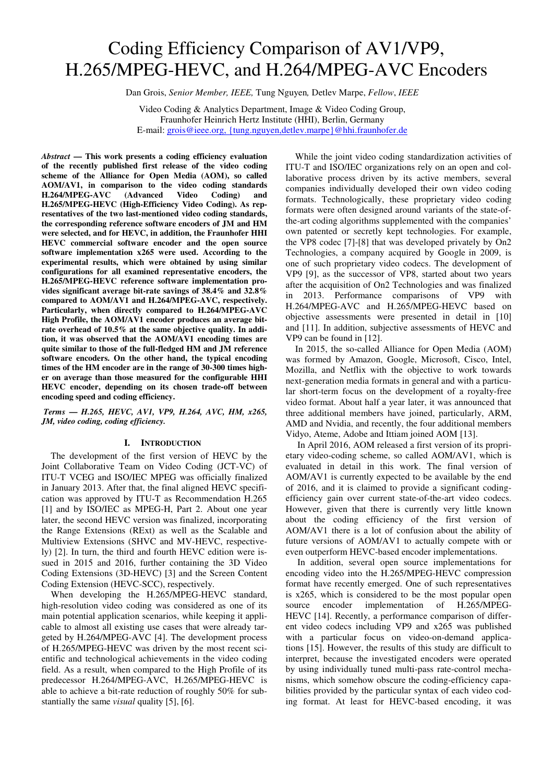# Coding Efficiency Comparison of AV1/VP9, H.265/MPEG-HEVC, and H.264/MPEG-AVC Encoders

Dan Grois, *Senior Member, IEEE,* Tung Nguyen*,* Detlev Marpe, *Fellow*, *IEEE*

Video Coding & Analytics Department, Image & Video Coding Group, Fraunhofer Heinrich Hertz Institute (HHI), Berlin, Germany E-mail: grois@ieee.org, {tung.nguyen,detlev.marpe}@hhi.fraunhofer.de

*Abstract* **— This work presents a coding efficiency evaluation of the recently published first release of the video coding scheme of the Alliance for Open Media (AOM), so called AOM/AV1, in comparison to the video coding standards H.264/MPEG-AVC (Advanced Video Coding) and H.265/MPEG-HEVC (High-Efficiency Video Coding). As representatives of the two last-mentioned video coding standards, the corresponding reference software encoders of JM and HM were selected, and for HEVC, in addition, the Fraunhofer HHI HEVC commercial software encoder and the open source software implementation x265 were used. According to the experimental results, which were obtained by using similar configurations for all examined representative encoders, the H.265/MPEG-HEVC reference software implementation provides significant average bit-rate savings of 38.4% and 32.8% compared to AOM/AV1 and H.264/MPEG-AVC, respectively. Particularly, when directly compared to H.264/MPEG-AVC High Profile, the AOM/AV1 encoder produces an average bitrate overhead of 10.5% at the same objective quality. In addition, it was observed that the AOM/AV1 encoding times are quite similar to those of the full-fledged HM and JM reference software encoders. On the other hand, the typical encoding times of the HM encoder are in the range of 30-300 times higher on average than those measured for the configurable HHI HEVC encoder, depending on its chosen trade-off between encoding speed and coding efficiency.** 

 *Terms* **—** *H.265, HEVC, AV1, VP9, H.264, AVC, HM, x265, JM, video coding, coding efficiency.*

#### **I. INTRODUCTION**

 The development of the first version of HEVC by the Joint Collaborative Team on Video Coding (JCT-VC) of ITU-T VCEG and ISO/IEC MPEG was officially finalized in January 2013. After that, the final aligned HEVC specification was approved by ITU-T as Recommendation H.265 [1] and by ISO/IEC as MPEG-H, Part 2. About one year later, the second HEVC version was finalized, incorporating the Range Extensions (RExt) as well as the Scalable and Multiview Extensions (SHVC and MV-HEVC, respectively) [2]. In turn, the third and fourth HEVC edition were issued in 2015 and 2016, further containing the 3D Video Coding Extensions (3D-HEVC) [3] and the Screen Content Coding Extension (HEVC-SCC), respectively.

When developing the H.265/MPEG-HEVC standard, high-resolution video coding was considered as one of its main potential application scenarios, while keeping it applicable to almost all existing use cases that were already targeted by H.264/MPEG-AVC [4]. The development process of H.265/MPEG-HEVC was driven by the most recent scientific and technological achievements in the video coding field. As a result, when compared to the High Profile of its predecessor H.264/MPEG-AVC, H.265/MPEG-HEVC is able to achieve a bit-rate reduction of roughly 50% for substantially the same *visual* quality [5], [6].

While the joint video coding standardization activities of ITU-T and ISO/IEC organizations rely on an open and collaborative process driven by its active members, several companies individually developed their own video coding formats. Technologically, these proprietary video coding formats were often designed around variants of the state-ofthe-art coding algorithms supplemented with the companies' own patented or secretly kept technologies. For example, the VP8 codec [7]-[8] that was developed privately by On2 Technologies, a company acquired by Google in 2009, is one of such proprietary video codecs. The development of VP9 [9], as the successor of VP8, started about two years after the acquisition of On2 Technologies and was finalized in 2013. Performance comparisons of VP9 with H.264/MPEG-AVC and H.265/MPEG-HEVC based on objective assessments were presented in detail in [10] and [11]. In addition, subjective assessments of HEVC and VP9 can be found in [12].

In 2015, the so-called Alliance for Open Media (AOM) was formed by Amazon, Google, Microsoft, Cisco, Intel, Mozilla, and Netflix with the objective to work towards next-generation media formats in general and with a particular short-term focus on the development of a royalty-free video format. About half a year later, it was announced that three additional members have joined, particularly, ARM, AMD and Nvidia, and recently, the four additional members Vidyo, Ateme, Adobe and Ittiam joined AOM [13].

 In April 2016, AOM released a first version of its proprietary video-coding scheme, so called AOM/AV1, which is evaluated in detail in this work. The final version of AOM/AV1 is currently expected to be available by the end of 2016, and it is claimed to provide a significant codingefficiency gain over current state-of-the-art video codecs. However, given that there is currently very little known about the coding efficiency of the first version of AOM/AV1 there is a lot of confusion about the ability of future versions of AOM/AV1 to actually compete with or even outperform HEVC-based encoder implementations.

 In addition, several open source implementations for encoding video into the H.265/MPEG-HEVC compression format have recently emerged. One of such representatives is x265, which is considered to be the most popular open source encoder implementation of H.265/MPEG-HEVC [14]. Recently, a performance comparison of different video codecs including VP9 and x265 was published with a particular focus on video-on-demand applications [15]. However, the results of this study are difficult to interpret, because the investigated encoders were operated by using individually tuned multi-pass rate-control mechanisms, which somehow obscure the coding-efficiency capabilities provided by the particular syntax of each video coding format. At least for HEVC-based encoding, it was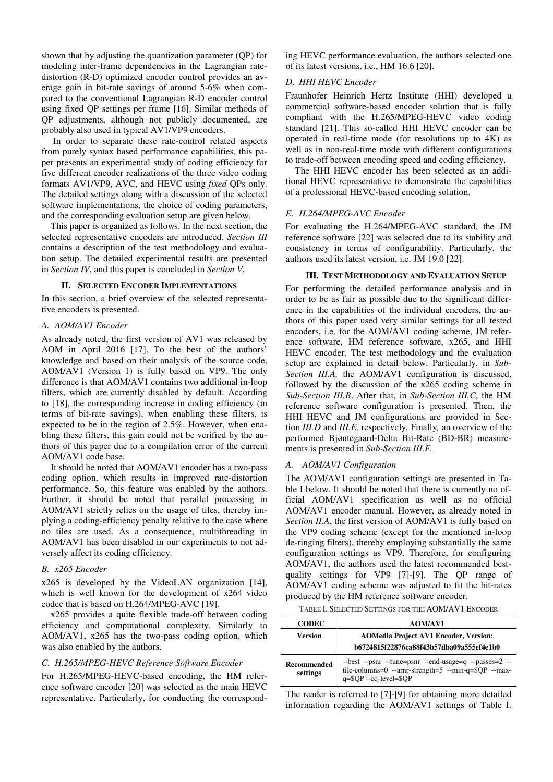shown that by adjusting the quantization parameter (QP) for modeling inter-frame dependencies in the Lagrangian ratedistortion (R-D) optimized encoder control provides an average gain in bit-rate savings of around 5-6% when compared to the conventional Lagrangian R-D encoder control using fixed QP settings per frame [16]. Similar methods of QP adjustments, although not publicly documented, are probably also used in typical AV1/VP9 encoders.

 In order to separate these rate-control related aspects from purely syntax based performance capabilities, this paper presents an experimental study of coding efficiency for five different encoder realizations of the three video coding formats AV1/VP9, AVC, and HEVC using *fixed* QPs only. The detailed settings along with a discussion of the selected software implementations, the choice of coding parameters, and the corresponding evaluation setup are given below.

This paper is organized as follows. In the next section, the selected representative encoders are introduced. *Section III* contains a description of the test methodology and evaluation setup. The detailed experimental results are presented in *Section IV*, and this paper is concluded in *Section V.* 

#### **II. SELECTED ENCODER IMPLEMENTATIONS**

In this section, a brief overview of the selected representative encoders is presented.

## *A. AOM/AV1 Encoder*

As already noted, the first version of AV1 was released by AOM in April 2016 [17]. To the best of the authors' knowledge and based on their analysis of the source code, AOM/AV1 (Version 1) is fully based on VP9. The only difference is that AOM/AV1 contains two additional in-loop filters, which are currently disabled by default. According to [18], the corresponding increase in coding efficiency (in terms of bit-rate savings), when enabling these filters, is expected to be in the region of 2.5%. However, when enabling these filters, this gain could not be verified by the authors of this paper due to a compilation error of the current AOM/AV1 code base.

 It should be noted that AOM/AV1 encoder has a two-pass coding option, which results in improved rate-distortion performance. So, this feature was enabled by the authors. Further, it should be noted that parallel processing in AOM/AV1 strictly relies on the usage of tiles, thereby implying a coding-efficiency penalty relative to the case where no tiles are used. As a consequence, multithreading in AOM/AV1 has been disabled in our experiments to not adversely affect its coding efficiency.

#### *B. x265 Encoder*

x265 is developed by the VideoLAN organization [14], which is well known for the development of x264 video codec that is based on H.264/MPEG-AVC [19].

 x265 provides a quite flexible trade-off between coding efficiency and computational complexity. Similarly to AOM/AV1, x265 has the two-pass coding option, which was also enabled by the authors.

# *C. H.265/MPEG-HEVC Reference Software Encoder*

For H.265/MPEG-HEVC-based encoding, the HM reference software encoder [20] was selected as the main HEVC representative. Particularly, for conducting the correspond-

ing HEVC performance evaluation, the authors selected one of its latest versions, i.e., HM 16.6 [20].

#### *D. HHI HEVC Encoder*

Fraunhofer Heinrich Hertz Institute (HHI) developed a commercial software-based encoder solution that is fully compliant with the H.265/MPEG-HEVC video coding standard [21]. This so-called HHI HEVC encoder can be operated in real-time mode (for resolutions up to 4K) as well as in non-real-time mode with different configurations to trade-off between encoding speed and coding efficiency.

 The HHI HEVC encoder has been selected as an additional HEVC representative to demonstrate the capabilities of a professional HEVC-based encoding solution.

#### *E. H.264/MPEG-AVC Encoder*

For evaluating the H.264/MPEG-AVC standard, the JM reference software [22] was selected due to its stability and consistency in terms of configurability. Particularly, the authors used its latest version, i.e. JM 19.0 [22].

#### **III. TEST METHODOLOGY AND EVALUATION SETUP**

For performing the detailed performance analysis and in order to be as fair as possible due to the significant difference in the capabilities of the individual encoders, the authors of this paper used very similar settings for all tested encoders, i.e. for the AOM/AV1 coding scheme, JM reference software, HM reference software, x265, and HHI HEVC encoder. The test methodology and the evaluation setup are explained in detail below. Particularly, in *Sub-Section III.A,* the AOM/AV1 configuration is discussed, followed by the discussion of the x265 coding scheme in *Sub-Section III.B*. After that, in *Sub-Section III.C*, the HM reference software configuration is presented*.* Then, the HHI HEVC and JM configurations are provided in Section *III.D* and *III.E,* respectively*.* Finally*,* an overview of the performed Bjøntegaard-Delta Bit-Rate (BD-BR) measurements is presented in *Sub-Section III.F.*

#### *A. AOM/AV1 Configuration*

The AOM/AV1 configuration settings are presented in Table I below. It should be noted that there is currently no official AOM/AV1 specification as well as no official AOM/AV1 encoder manual. However, as already noted in *Section II.A*, the first version of AOM/AV1 is fully based on the VP9 coding scheme (except for the mentioned in-loop de-ringing filters), thereby employing substantially the same configuration settings as VP9. Therefore, for configuring AOM/AV1, the authors used the latest recommended bestquality settings for VP9 [7]-[9]. The QP range of AOM/AV1 coding scheme was adjusted to fit the bit-rates produced by the HM reference software encoder.

TABLE I. SELECTED SETTINGS FOR THE AOM/AV1 ENCODER

| <b>CODEC</b>            | <b>AOM/AV1</b>                                                                                                                                      |
|-------------------------|-----------------------------------------------------------------------------------------------------------------------------------------------------|
| Version                 | <b>AOMedia Project AV1 Encoder, Version:</b><br>b6724815f22876ca88f43b57dba09a555ef4e1b0                                                            |
| Recommended<br>settings | --best --psnr --tune=psnr --end-usage=q --passes=2 --<br>tile-columns=0 --arm-strength=5 --min-q= $\overline{Q}QP$ --max-<br>q=\$QP --cq-level=\$QP |

The reader is referred to [7]-[9] for obtaining more detailed information regarding the AOM/AV1 settings of Table I.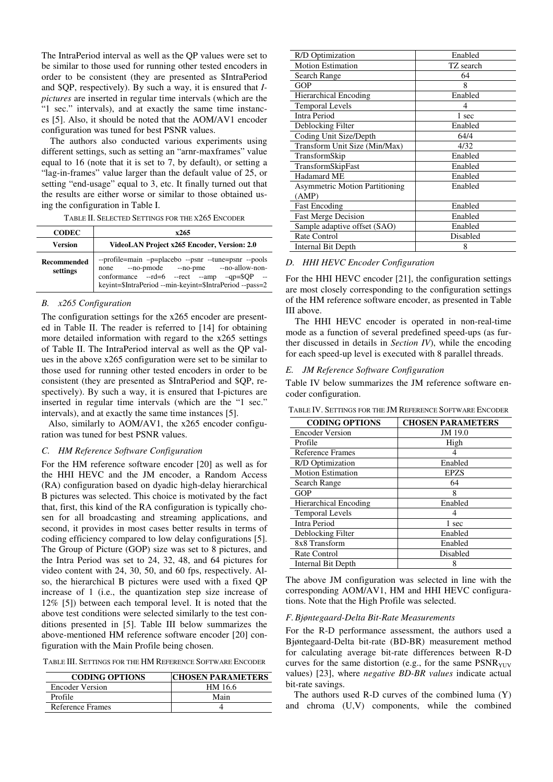The IntraPeriod interval as well as the QP values were set to be similar to those used for running other tested encoders in order to be consistent (they are presented as \$IntraPeriod and \$QP, respectively). By such a way, it is ensured that *Ipictures* are inserted in regular time intervals (which are the "1 sec." intervals), and at exactly the same time instances [5]. Also, it should be noted that the AOM/AV1 encoder configuration was tuned for best PSNR values.

The authors also conducted various experiments using different settings, such as setting an "arnr-maxframes" value equal to 16 (note that it is set to 7, by default), or setting a "lag-in-frames" value larger than the default value of 25, or setting "end-usage" equal to 3, etc. It finally turned out that the results are either worse or similar to those obtained using the configuration in Table I.

| <b>CODEC</b>            | x265                                                                                                                                                                                                         |  |  |  |
|-------------------------|--------------------------------------------------------------------------------------------------------------------------------------------------------------------------------------------------------------|--|--|--|
| <b>Version</b>          | VideoLAN Project x265 Encoder, Version: 2.0                                                                                                                                                                  |  |  |  |
| Recommended<br>settings | --profile=main --pplacebo --psnr --tune=psnr --pools<br>none --no-pmode --no-pme --no-allow-non-<br>conformance --rd=6 --rect --amp --qp=\$QP --<br>keyint=\$IntraPeriod --min-keyint=\$IntraPeriod --pass=2 |  |  |  |

# *B. x265 Configuration*

The configuration settings for the x265 encoder are presented in Table II. The reader is referred to [14] for obtaining more detailed information with regard to the x265 settings of Table II. The IntraPeriod interval as well as the QP values in the above x265 configuration were set to be similar to those used for running other tested encoders in order to be consistent (they are presented as \$IntraPeriod and \$QP, respectively). By such a way, it is ensured that I-pictures are inserted in regular time intervals (which are the "1 sec." intervals), and at exactly the same time instances [5].

 Also, similarly to AOM/AV1, the x265 encoder configuration was tuned for best PSNR values.

## *C. HM Reference Software Configuration*

For the HM reference software encoder [20] as well as for the HHI HEVC and the JM encoder, a Random Access (RA) configuration based on dyadic high-delay hierarchical B pictures was selected. This choice is motivated by the fact that, first, this kind of the RA configuration is typically chosen for all broadcasting and streaming applications, and second, it provides in most cases better results in terms of coding efficiency compared to low delay configurations [5]. The Group of Picture (GOP) size was set to 8 pictures, and the Intra Period was set to 24, 32, 48, and 64 pictures for video content with 24, 30, 50, and 60 fps, respectively. Also, the hierarchical B pictures were used with a fixed QP increase of 1 (i.e., the quantization step size increase of 12% [5]) between each temporal level. It is noted that the above test conditions were selected similarly to the test conditions presented in [5]. Table III below summarizes the above-mentioned HM reference software encoder [20] configuration with the Main Profile being chosen.

|  | TABLE III. SETTINGS FOR THE HM REFERENCE SOFTWARE ENCODER |
|--|-----------------------------------------------------------|
|--|-----------------------------------------------------------|

| <b>CODING OPTIONS</b>  | <b>CHOSEN PARAMETERS</b> |  |
|------------------------|--------------------------|--|
| <b>Encoder Version</b> | HM 16.6                  |  |
| Profile                | Main                     |  |
| Reference Frames       |                          |  |

| R/D Optimization                      | Enabled   |
|---------------------------------------|-----------|
| <b>Motion Estimation</b>              | TZ search |
| Search Range                          | 64        |
| GOP                                   | 8         |
| <b>Hierarchical Encoding</b>          | Enabled   |
| <b>Temporal Levels</b>                | 4         |
| Intra Period                          | 1 sec     |
| Deblocking Filter                     | Enabled   |
| Coding Unit Size/Depth                | 64/4      |
| Transform Unit Size (Min/Max)         | 4/32      |
| TransformSkip                         | Enabled   |
| TransformSkipFast                     | Enabled   |
| Hadamard ME                           | Enabled   |
| <b>Asymmetric Motion Partitioning</b> | Enabled   |
| (AMP)                                 |           |
| <b>Fast Encoding</b>                  | Enabled   |
| <b>Fast Merge Decision</b>            | Enabled   |
| Sample adaptive offset (SAO)          | Enabled   |
| Rate Control                          | Disabled  |
| Internal Bit Depth                    | 8         |

#### *D. HHI HEVC Encoder Configuration*

For the HHI HEVC encoder [21], the configuration settings are most closely corresponding to the configuration settings of the HM reference software encoder, as presented in Table III above.

 The HHI HEVC encoder is operated in non-real-time mode as a function of several predefined speed-ups (as further discussed in details in *Section IV*), while the encoding for each speed-up level is executed with 8 parallel threads.

# *E. JM Reference Software Configuration*

Table IV below summarizes the JM reference software encoder configuration.

TABLE IV. SETTINGS FOR THE JM REFERENCE SOFTWARE ENCODER

| <b>CODING OPTIONS</b>        | <b>CHOSEN PARAMETERS</b> |  |  |
|------------------------------|--------------------------|--|--|
| <b>Encoder Version</b>       | JM 19.0                  |  |  |
| Profile                      | High                     |  |  |
| <b>Reference Frames</b>      |                          |  |  |
| R/D Optimization             | Enabled                  |  |  |
| <b>Motion Estimation</b>     | <b>EPZS</b>              |  |  |
| Search Range                 | 64                       |  |  |
| <b>GOP</b>                   | 8                        |  |  |
| <b>Hierarchical Encoding</b> | Enabled                  |  |  |
| <b>Temporal Levels</b>       |                          |  |  |
| Intra Period                 | 1 sec                    |  |  |
| Deblocking Filter            | Enabled                  |  |  |
| 8x8 Transform                | Enabled                  |  |  |
| Rate Control                 | Disabled                 |  |  |
| Internal Bit Depth           | 8                        |  |  |

The above JM configuration was selected in line with the corresponding AOM/AV1, HM and HHI HEVC configurations. Note that the High Profile was selected.

#### *F.Bjøntegaard-Delta Bit-Rate Measurements*

For the R-D performance assessment, the authors used a Bjøntegaard-Delta bit-rate (BD-BR) measurement method for calculating average bit-rate differences between R-D curves for the same distortion (e.g., for the same  $PSNR<sub>YUV</sub>$ values) [23], where *negative BD-BR values* indicate actual bit-rate savings.

The authors used R-D curves of the combined luma (Y) and chroma (U,V) components, while the combined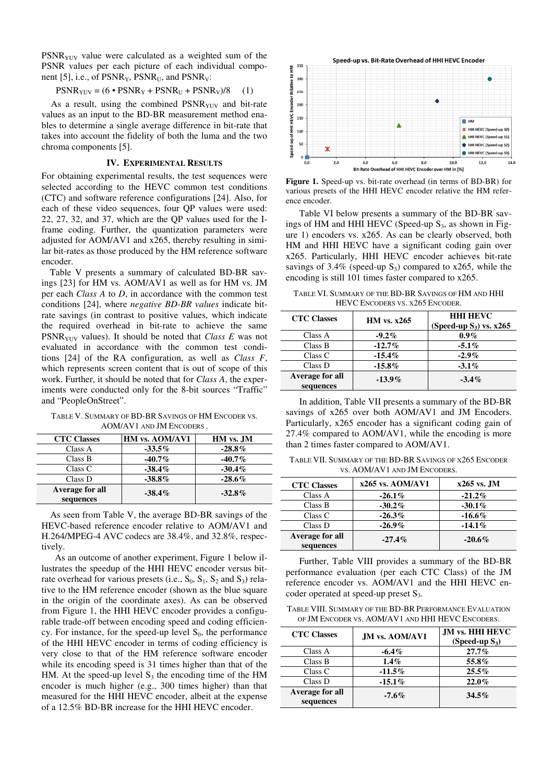PSNR<sub>YUV</sub> value were calculated as a weighted sum of the PSNR values per each picture of each individual component [5], i.e., of  $PSNR_{Y}$ ,  $PSNR_{U}$ , and  $PSNR_{V}$ :

$$
PSNR_{\text{YUV}} = (6 \cdot \text{PSNR}_{\text{Y}} + \text{PSNR}_{\text{U}} + \text{PSNR}_{\text{V}})/8 \tag{1}
$$

As a result, using the combined  $PSNR<sub>YUV</sub>$  and bit-rate values as an input to the BD-BR measurement method enables to determine a single average difference in bit-rate that takes into account the fidelity of both the luma and the two chroma components [5].

#### **IV. EXPERIMENTAL RESULTS**

For obtaining experimental results, the test sequences were selected according to the HEVC common test conditions (CTC) and software reference configurations [24]. Also, for each of these video sequences, four QP values were used: 22, 27, 32, and 37, which are the QP values used for the Iframe coding. Further, the quantization parameters were adjusted for AOM/AV1 and x265, thereby resulting in similar bit-rates as those produced by the HM reference software encoder.

Table V presents a summary of calculated BD-BR savings [23] for HM vs. AOM/AV1 as well as for HM vs. JM per each *Class A* to *D*, in accordance with the common test conditions [24], where *negative BD-BR values* indicate bitrate savings (in contrast to positive values, which indicate the required overhead in bit-rate to achieve the same PSNRYUV values). It should be noted that *Class E* was not evaluated in accordance with the common test conditions [24] of the RA configuration, as well as *Class F*, which represents screen content that is out of scope of this work. Further, it should be noted that for *Class A*, the experiments were conducted only for the 8-bit sources "Traffic" and "PeopleOnStreet".

TABLE V. SUMMARY OF BD-BR SAVINGS OF HM ENCODER VS. AOM/AV1 AND JM ENCODERS .

| <b>CTC Classes</b>           | <b>HM vs. AOM/AV1</b> | HM vs. JM |
|------------------------------|-----------------------|-----------|
| Class A                      | $-33.5\%$             | $-28.8\%$ |
| Class B                      | $-40.7\%$             | $-40.7\%$ |
| Class C                      | $-38.4\%$             | $-30.4\%$ |
| Class D                      | $-38.8\%$             | $-28.6\%$ |
| Average for all<br>sequences | $-38.4\%$             | $-32.8\%$ |

As seen from Table V, the average BD-BR savings of the HEVC-based reference encoder relative to AOM/AV1 and H.264/MPEG-4 AVC codecs are 38.4%, and 32.8%, respectively.

As an outcome of another experiment, Figure 1 below illustrates the speedup of the HHI HEVC encoder versus bitrate overhead for various presets (i.e.,  $S_0$ ,  $S_1$ ,  $S_2$  and  $S_3$ ) relative to the HM reference encoder (shown as the blue square in the origin of the coordinate axes). As can be observed from Figure 1, the HHI HEVC encoder provides a configurable trade-off between encoding speed and coding efficiency. For instance, for the speed-up level  $S_0$ , the performance of the HHI HEVC encoder in terms of coding efficiency is very close to that of the HM reference software encoder while its encoding speed is 31 times higher than that of the HM. At the speed-up level  $S_3$  the encoding time of the HM encoder is much higher (e.g., 300 times higher) than that measured for the HHI HEVC encoder, albeit at the expense of a 12.5% BD-BR increase for the HHI HEVC encoder.



**Figure 1.** Speed-up vs. bit-rate overhead (in terms of BD-BR) for various presets of the HHI HEVC encoder relative the HM reference encoder.

Table VI below presents a summary of the BD-BR savings of HM and HHI HEVC (Speed-up  $S_3$ , as shown in Figure 1) encoders vs. x265. As can be clearly observed, both HM and HHI HEVC have a significant coding gain over x265. Particularly, HHI HEVC encoder achieves bit-rate savings of  $3.4\%$  (speed-up S<sub>3</sub>) compared to x265, while the encoding is still 101 times faster compared to x265.

TABLE VI. SUMMARY OF THE BD-BR SAVINGS OF HM AND HHI HEVC ENCODERS VS. X265 ENCODER.

| <b>CTC Classes</b>           | HM vs. $x265$ | <b>HHI HEVC</b><br>(Speed-up $S_3$ ) vs. $x265$ |
|------------------------------|---------------|-------------------------------------------------|
| Class A                      | $-9.2\%$      | $0.9\%$                                         |
| Class B                      | $-12.7\%$     | $-5.1\%$                                        |
| Class C                      | $-15.4\%$     | $-2.9\%$                                        |
| Class D                      | $-15.8\%$     | $-3.1\%$                                        |
| Average for all<br>sequences | $-13.9\%$     | $-3.4\%$                                        |

In addition, Table VII presents a summary of the BD-BR savings of x265 over both AOM/AV1 and JM Encoders. Particularly, x265 encoder has a significant coding gain of 27.4% compared to AOM/AV1, while the encoding is more than 2 times faster compared to AOM/AV1.

TABLE VII. SUMMARY OF THE BD-BR SAVINGS OF X265 ENCODER VS. AOM/AV1 AND JM ENCODERS.

| <b>CTC Classes</b>           | $x265$ vs. AOM/AV1 | $x265$ vs. JM |
|------------------------------|--------------------|---------------|
| Class A                      | $-26.1\%$          | $-21.2\%$     |
| Class B                      | $-30.2\%$          | $-30.1\%$     |
| Class C                      | $-26.3\%$          | $-16.6\%$     |
| Class D                      | $-26.9\%$          | $-14.1\%$     |
| Average for all<br>sequences | $-27.4\%$          | $-20.6\%$     |

Further, Table VIII provides a summary of the BD-BR performance evaluation (per each CTC Class) of the JM reference encoder vs. AOM/AV1 and the HHI HEVC encoder operated at speed-up preset S<sub>3</sub>.

TABLE VIII. SUMMARY OF THE BD-BR PERFORMANCE EVALUATION OF JM ENCODER VS. AOM/AV1 AND HHI HEVC ENCODERS.

| <b>CTC Classes</b>           | <b>JM vs. AOM/AV1</b> | <b>JM vs. HHI HEVC</b><br>(Speed-up $S_3$ ) |
|------------------------------|-----------------------|---------------------------------------------|
| Class A                      | $-6.4\%$              | $27.7\%$                                    |
| Class B                      | $1.4\%$               | 55.8%                                       |
| Class C                      | $-11.5%$              | $25.5\%$                                    |
| Class D                      | $-15.1\%$             | $22.0\%$                                    |
| Average for all<br>sequences | $-7.6\%$              | $34.5\%$                                    |